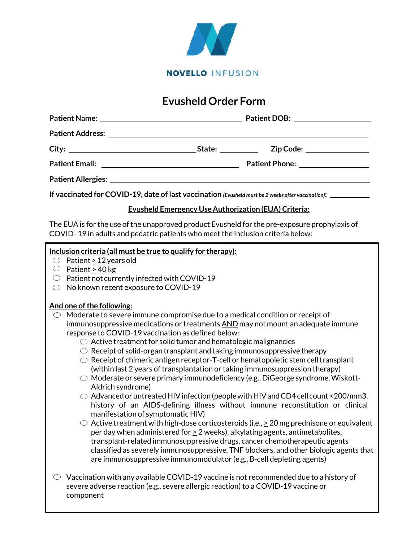

# **Evusheld Order Form**

|                                                             | If vaccinated for COVID-19, date of last vaccination (Evusheld must be 2 weeks after vaccination): __________ |
|-------------------------------------------------------------|---------------------------------------------------------------------------------------------------------------|
| <b>Evusheld Emergency Use Authorization (EUA) Criteria:</b> |                                                                                                               |

The EUA is for the use of the unapproved product Evusheld for the pre-exposure prophylaxis of COVID- 19 in adults and pedatric patients who meet the inclusion criteria below:

### **Inclusion criteria (all must be true to qualify for therapy):**

- $\circ$  Patient > 12 years old
- $\circ$  Patient > 40 kg
- $\circledcirc$  Patient not currently infected with COVID-19
- $\circlearrowright$  No known recent exposure to COVID-19

## **And one ofthe following:**

- $\circlearrowright$  Moderate to severe immune compromise due to a medical condition or receipt of immunosuppressive medications or treatments AND may not mount an adequate immune response to COVID-19 vaccination as defined below:
	- $\circlearrowright$  Active treatment for solid tumor and hematologic malignancies
	- $\circlearrowright$  Receipt of solid-organ transplant and taking immunosuppressive therapy
	- $\circlearrowright$  Receipt of chimeric antigen receptor-T-cell or hematopoietic stem cell transplant (within last 2 years of transplantation or taking immunosuppression therapy)
	- $\circlearrowright$  Moderate or severe primary immunodeficiency (e.g., DiGeorge syndrome, Wiskott-Aldrich syndrome)
	- $\circlearrowright$  Advanced or untreated HIV infection (people with HIV and CD4 cell count <200/mm3, history of an AIDS-defining illness without immune reconstitution or clinical manifestation of symptomatic HIV)
	- $\circlearrowright$  Active treatment with high-dose corticosteroids (i.e.,  $>$  20 mg prednisone or equivalent per day when administered for  $\geq 2$  weeks), alkylating agents, antimetabolites, transplant-related immunosuppressive drugs, cancer chemotherapeutic agents classified as severely immunosuppressive, TNF blockers, and other biologic agents that are immunosuppressive immunomodulator (e.g., B-cell depleting agents)
- $\circlearrowright$  Vaccination with any available COVID-19 vaccine is not recommended due to a history of severe adverse reaction (e.g., severe allergic reaction) to a COVID-19 vaccine or component